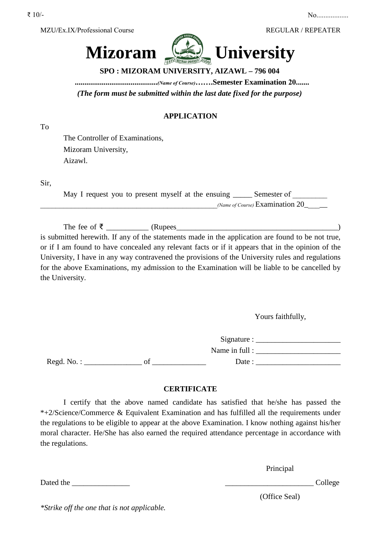



**SPO : MIZORAM UNIVERSITY, AIZAWL – 796 004** 

**...........................................***(Name of Course)***…….Semester Examination 20.......** 

*(The form must be submitted within the last date fixed for the purpose)* 

## **APPLICATION**

To

The Controller of Examinations, Mizoram University, Aizawl.

Sir,

| May I request you to present myself at the ensuing __ | Semester of                       |
|-------------------------------------------------------|-----------------------------------|
|                                                       | (Name of Course) $Examination 20$ |

The fee of ₹ \_\_\_\_\_\_\_\_\_\_\_ (Rupees\_\_\_\_\_\_\_\_\_\_\_\_\_\_\_\_\_\_\_\_\_\_\_\_\_\_\_\_\_\_\_\_\_\_\_\_\_\_\_\_\_\_)

is submitted herewith. If any of the statements made in the application are found to be not true, or if I am found to have concealed any relevant facts or if it appears that in the opinion of the University, I have in any way contravened the provisions of the University rules and regulations for the above Examinations, my admission to the Examination will be liable to be cancelled by the University.

Yours faithfully,

 $Signature:$ Name in full : Regd. No. :  $\qquad \qquad$  of  $\qquad \qquad$  Date :

## **CERTIFICATE**

I certify that the above named candidate has satisfied that he/she has passed the \*+2/Science/Commerce & Equivalent Examination and has fulfilled all the requirements under the regulations to be eligible to appear at the above Examination. I know nothing against his/her moral character. He/She has also earned the required attendance percentage in accordance with the regulations.

Principal

Dated the College and the College and the College and the College and the College and the College and the College and the College and the College and the College and the College and the College and the College and the Coll

*\*Strike off the one that is not applicable.*

(Office Seal)